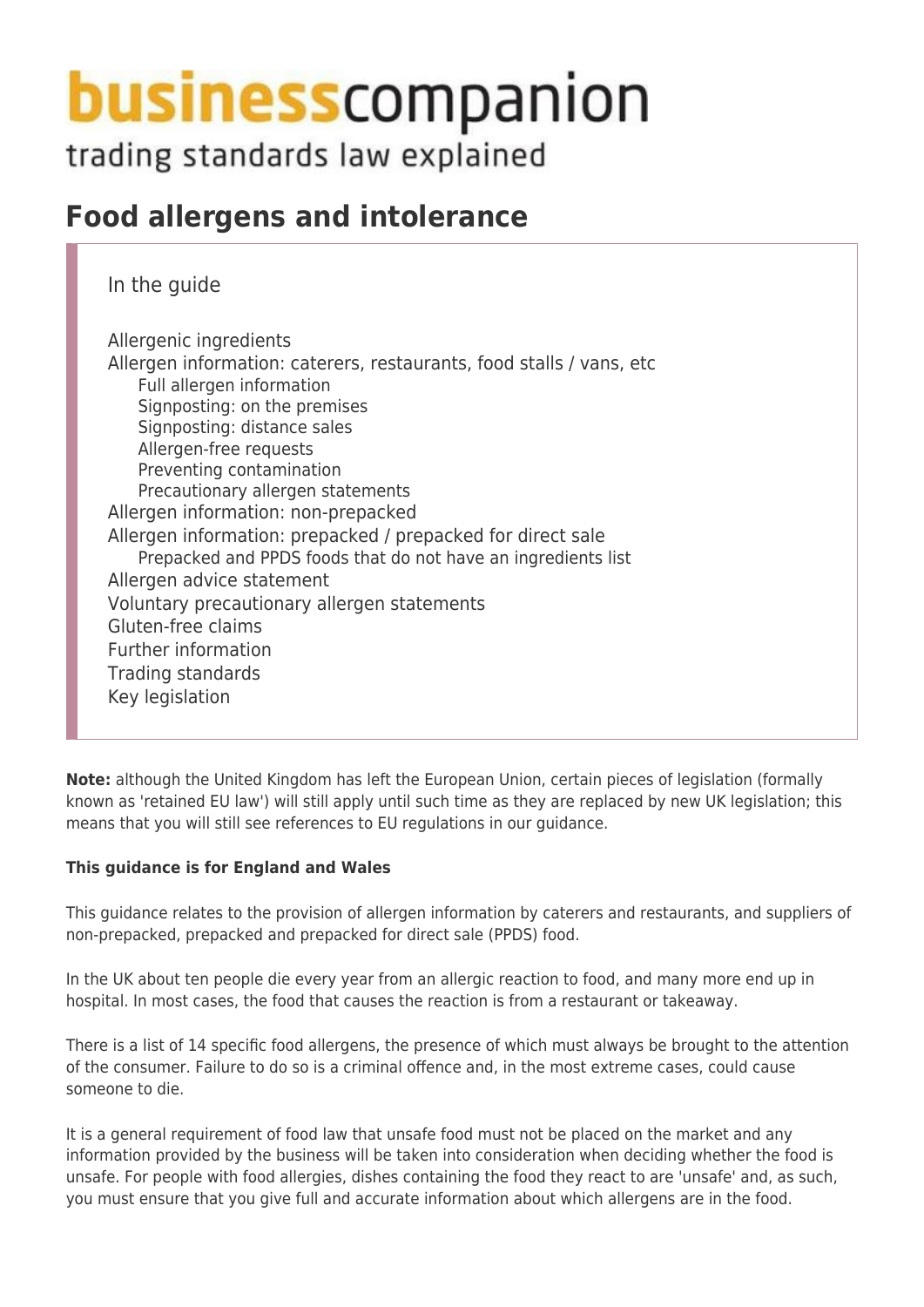# **business** companion

trading standards law explained

## **Food allergens and intolerance**

In the guide

Allergenic ingredients Allergen information: caterers, restaurants, food stalls / vans, etc Full allergen information Signposting: on the premises Signposting: distance sales Allergen-free requests Preventing contamination Precautionary allergen statements Allergen information: non-prepacked Allergen information: prepacked / prepacked for direct sale Prepacked and PPDS foods that do not have an ingredients list Allergen advice statement Voluntary precautionary allergen statements Gluten-free claims Further information Trading standards Key legislation

**Note:** although the United Kingdom has left the European Union, certain pieces of legislation (formally known as 'retained EU law') will still apply until such time as they are replaced by new UK legislation; this means that you will still see references to EU regulations in our guidance.

#### **This guidance is for England and Wales**

This guidance relates to the provision of allergen information by caterers and restaurants, and suppliers of non-prepacked, prepacked and prepacked for direct sale (PPDS) food.

In the UK about ten people die every year from an allergic reaction to food, and many more end up in hospital. In most cases, the food that causes the reaction is from a restaurant or takeaway.

There is a list of 14 specific food allergens, the presence of which must always be brought to the attention of the consumer. Failure to do so is a criminal offence and, in the most extreme cases, could cause someone to die.

It is a general requirement of food law that unsafe food must not be placed on the market and any information provided by the business will be taken into consideration when deciding whether the food is unsafe. For people with food allergies, dishes containing the food they react to are 'unsafe' and, as such, you must ensure that you give full and accurate information about which allergens are in the food.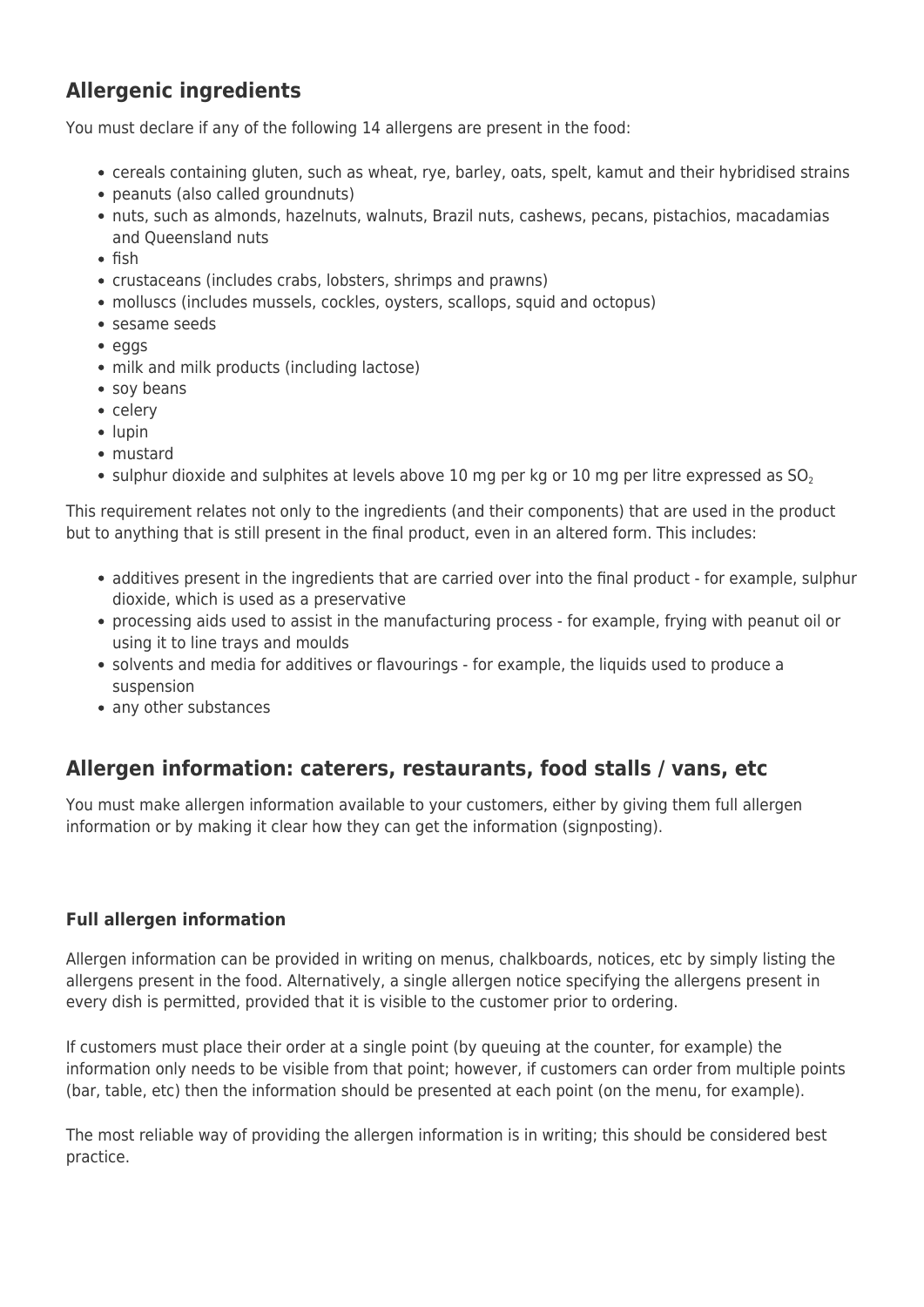## **Allergenic ingredients**

You must declare if any of the following 14 allergens are present in the food:

- cereals containing gluten, such as wheat, rye, barley, oats, spelt, kamut and their hybridised strains
- peanuts (also called groundnuts)
- nuts, such as almonds, hazelnuts, walnuts, Brazil nuts, cashews, pecans, pistachios, macadamias and Queensland nuts
- $\bullet$  fish
- crustaceans (includes crabs, lobsters, shrimps and prawns)
- molluscs (includes mussels, cockles, oysters, scallops, squid and octopus)
- sesame seeds
- eggs
- milk and milk products (including lactose)
- soy beans
- celery
- $\bullet$  lupin
- mustard
- sulphur dioxide and sulphites at levels above 10 mg per kg or 10 mg per litre expressed as  $SO<sub>2</sub>$

This requirement relates not only to the ingredients (and their components) that are used in the product but to anything that is still present in the final product, even in an altered form. This includes:

- additives present in the ingredients that are carried over into the final product for example, sulphur dioxide, which is used as a preservative
- processing aids used to assist in the manufacturing process for example, frying with peanut oil or using it to line trays and moulds
- solvents and media for additives or flavourings for example, the liquids used to produce a suspension
- any other substances

## **Allergen information: caterers, restaurants, food stalls / vans, etc**

You must make allergen information available to your customers, either by giving them full allergen information or by making it clear how they can get the information (signposting).

#### **Full allergen information**

Allergen information can be provided in writing on menus, chalkboards, notices, etc by simply listing the allergens present in the food. Alternatively, a single allergen notice specifying the allergens present in every dish is permitted, provided that it is visible to the customer prior to ordering.

If customers must place their order at a single point (by queuing at the counter, for example) the information only needs to be visible from that point; however, if customers can order from multiple points (bar, table, etc) then the information should be presented at each point (on the menu, for example).

The most reliable way of providing the allergen information is in writing; this should be considered best practice.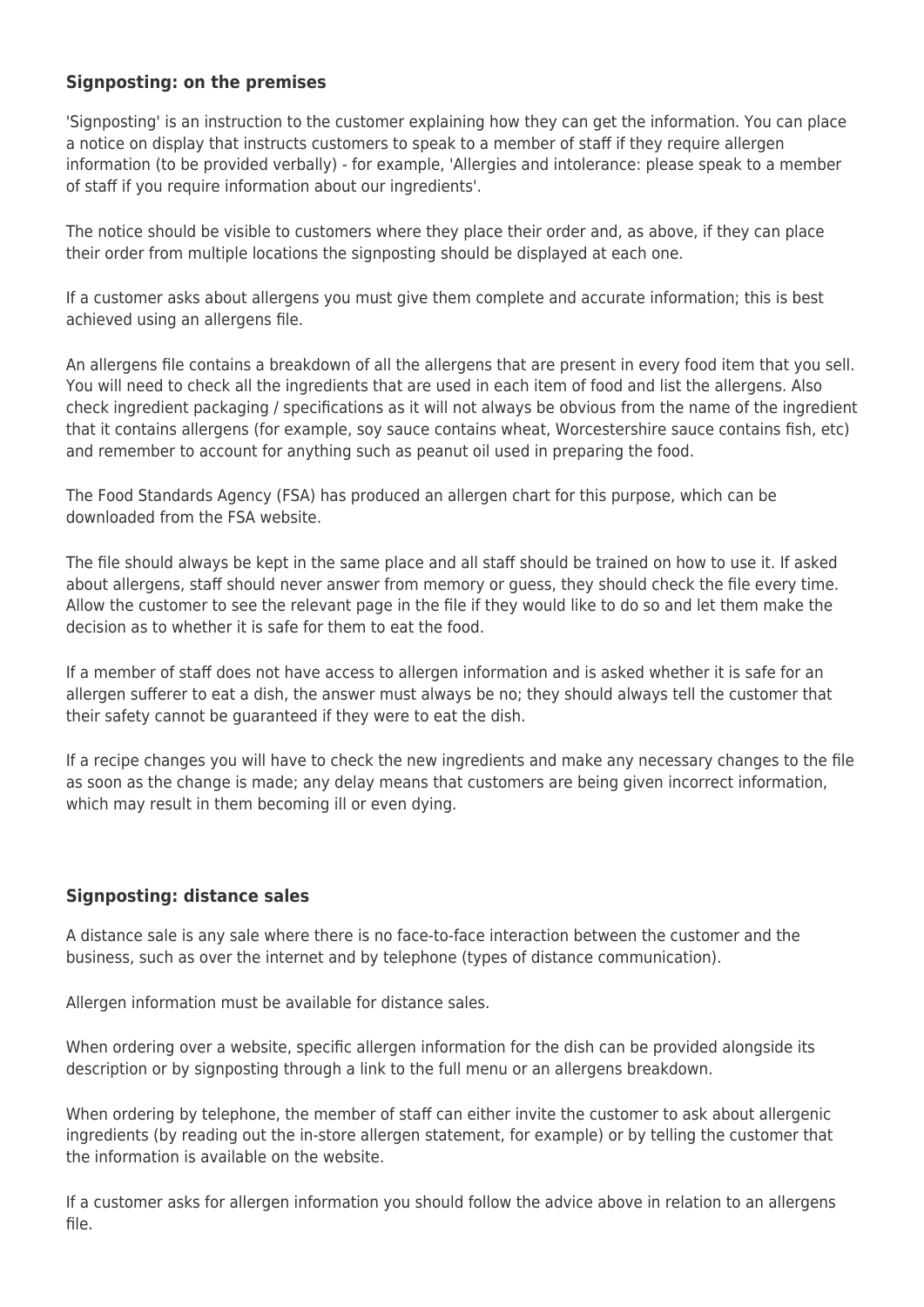#### **Signposting: on the premises**

'Signposting' is an instruction to the customer explaining how they can get the information. You can place a notice on display that instructs customers to speak to a member of staff if they require allergen information (to be provided verbally) - for example, 'Allergies and intolerance: please speak to a member of staff if you require information about our ingredients'.

The notice should be visible to customers where they place their order and, as above, if they can place their order from multiple locations the signposting should be displayed at each one.

If a customer asks about allergens you must give them complete and accurate information; this is best achieved using an allergens file.

An allergens file contains a breakdown of all the allergens that are present in every food item that you sell. You will need to check all the ingredients that are used in each item of food and list the allergens. Also check ingredient packaging / specifications as it will not always be obvious from the name of the ingredient that it contains allergens (for example, soy sauce contains wheat, Worcestershire sauce contains fish, etc) and remember to account for anything such as peanut oil used in preparing the food.

The Food Standards Agency (FSA) has produced an allergen chart for this purpose, which can be downloaded from the FSA website.

The file should always be kept in the same place and all staff should be trained on how to use it. If asked about allergens, staff should never answer from memory or guess, they should check the file every time. Allow the customer to see the relevant page in the file if they would like to do so and let them make the decision as to whether it is safe for them to eat the food.

If a member of staff does not have access to allergen information and is asked whether it is safe for an allergen sufferer to eat a dish, the answer must always be no; they should always tell the customer that their safety cannot be guaranteed if they were to eat the dish.

If a recipe changes you will have to check the new ingredients and make any necessary changes to the file as soon as the change is made; any delay means that customers are being given incorrect information, which may result in them becoming ill or even dying.

#### **Signposting: distance sales**

A distance sale is any sale where there is no face-to-face interaction between the customer and the business, such as over the internet and by telephone (types of distance communication).

Allergen information must be available for distance sales.

When ordering over a website, specific allergen information for the dish can be provided alongside its description or by signposting through a link to the full menu or an allergens breakdown.

When ordering by telephone, the member of staff can either invite the customer to ask about allergenic ingredients (by reading out the in-store allergen statement, for example) or by telling the customer that the information is available on the website.

If a customer asks for allergen information you should follow the advice above in relation to an allergens file.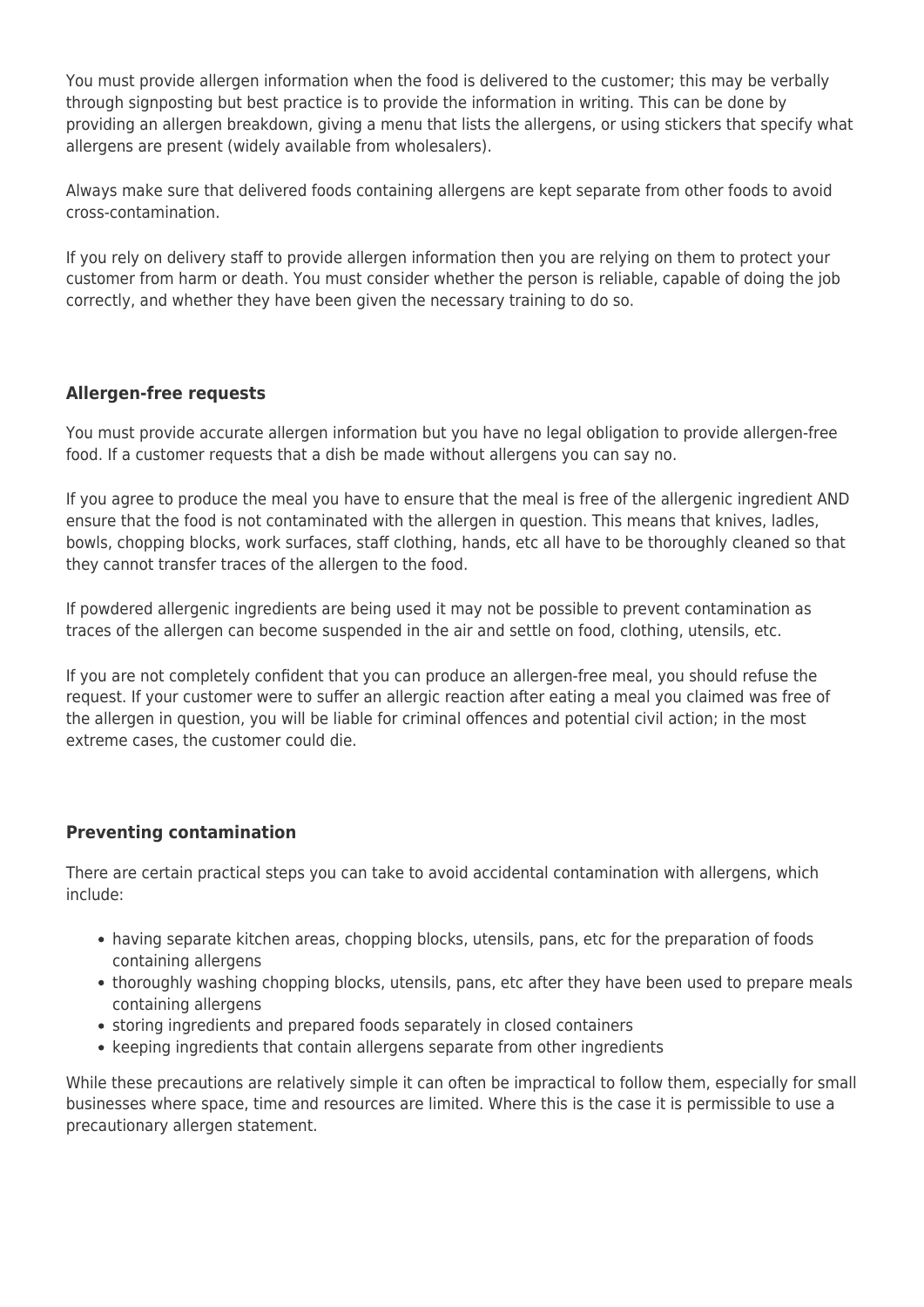You must provide allergen information when the food is delivered to the customer; this may be verbally through signposting but best practice is to provide the information in writing. This can be done by providing an allergen breakdown, giving a menu that lists the allergens, or using stickers that specify what allergens are present (widely available from wholesalers).

Always make sure that delivered foods containing allergens are kept separate from other foods to avoid cross-contamination.

If you rely on delivery staff to provide allergen information then you are relying on them to protect your customer from harm or death. You must consider whether the person is reliable, capable of doing the job correctly, and whether they have been given the necessary training to do so.

#### **Allergen-free requests**

You must provide accurate allergen information but you have no legal obligation to provide allergen-free food. If a customer requests that a dish be made without allergens you can say no.

If you agree to produce the meal you have to ensure that the meal is free of the allergenic ingredient AND ensure that the food is not contaminated with the allergen in question. This means that knives, ladles, bowls, chopping blocks, work surfaces, staff clothing, hands, etc all have to be thoroughly cleaned so that they cannot transfer traces of the allergen to the food.

If powdered allergenic ingredients are being used it may not be possible to prevent contamination as traces of the allergen can become suspended in the air and settle on food, clothing, utensils, etc.

If you are not completely confident that you can produce an allergen-free meal, you should refuse the request. If your customer were to suffer an allergic reaction after eating a meal you claimed was free of the allergen in question, you will be liable for criminal offences and potential civil action; in the most extreme cases, the customer could die.

#### **Preventing contamination**

There are certain practical steps you can take to avoid accidental contamination with allergens, which include:

- having separate kitchen areas, chopping blocks, utensils, pans, etc for the preparation of foods containing allergens
- thoroughly washing chopping blocks, utensils, pans, etc after they have been used to prepare meals containing allergens
- storing ingredients and prepared foods separately in closed containers
- keeping ingredients that contain allergens separate from other ingredients

While these precautions are relatively simple it can often be impractical to follow them, especially for small businesses where space, time and resources are limited. Where this is the case it is permissible to use a precautionary allergen statement.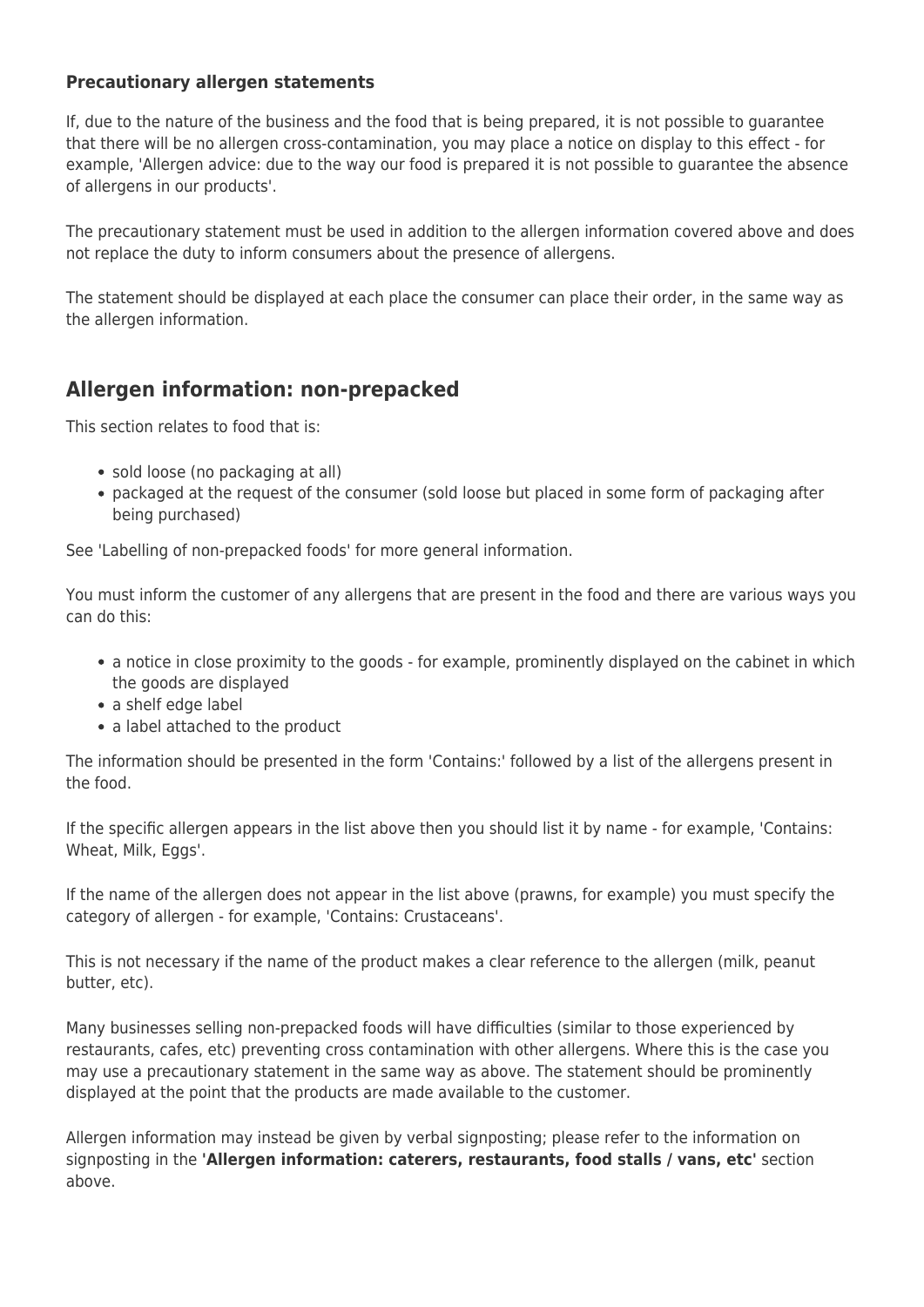#### **Precautionary allergen statements**

If, due to the nature of the business and the food that is being prepared, it is not possible to guarantee that there will be no allergen cross-contamination, you may place a notice on display to this effect - for example, 'Allergen advice: due to the way our food is prepared it is not possible to guarantee the absence of allergens in our products'.

The precautionary statement must be used in addition to the allergen information covered above and does not replace the duty to inform consumers about the presence of allergens.

The statement should be displayed at each place the consumer can place their order, in the same way as the allergen information.

## **Allergen information: non-prepacked**

This section relates to food that is:

- sold loose (no packaging at all)
- packaged at the request of the consumer (sold loose but placed in some form of packaging after being purchased)

See 'Labelling of non-prepacked foods' for more general information.

You must inform the customer of any allergens that are present in the food and there are various ways you can do this:

- a notice in close proximity to the goods for example, prominently displayed on the cabinet in which the goods are displayed
- a shelf edge label
- a label attached to the product

The information should be presented in the form 'Contains:' followed by a list of the allergens present in the food.

If the specific allergen appears in the list above then you should list it by name - for example, 'Contains: Wheat, Milk, Eggs',

If the name of the allergen does not appear in the list above (prawns, for example) you must specify the category of allergen - for example, 'Contains: Crustaceans'.

This is not necessary if the name of the product makes a clear reference to the allergen (milk, peanut butter, etc).

Many businesses selling non-prepacked foods will have difficulties (similar to those experienced by restaurants, cafes, etc) preventing cross contamination with other allergens. Where this is the case you may use a precautionary statement in the same way as above. The statement should be prominently displayed at the point that the products are made available to the customer.

Allergen information may instead be given by verbal signposting; please refer to the information on signposting in the **'Allergen information: caterers, restaurants, food stalls / vans, etc'** section above.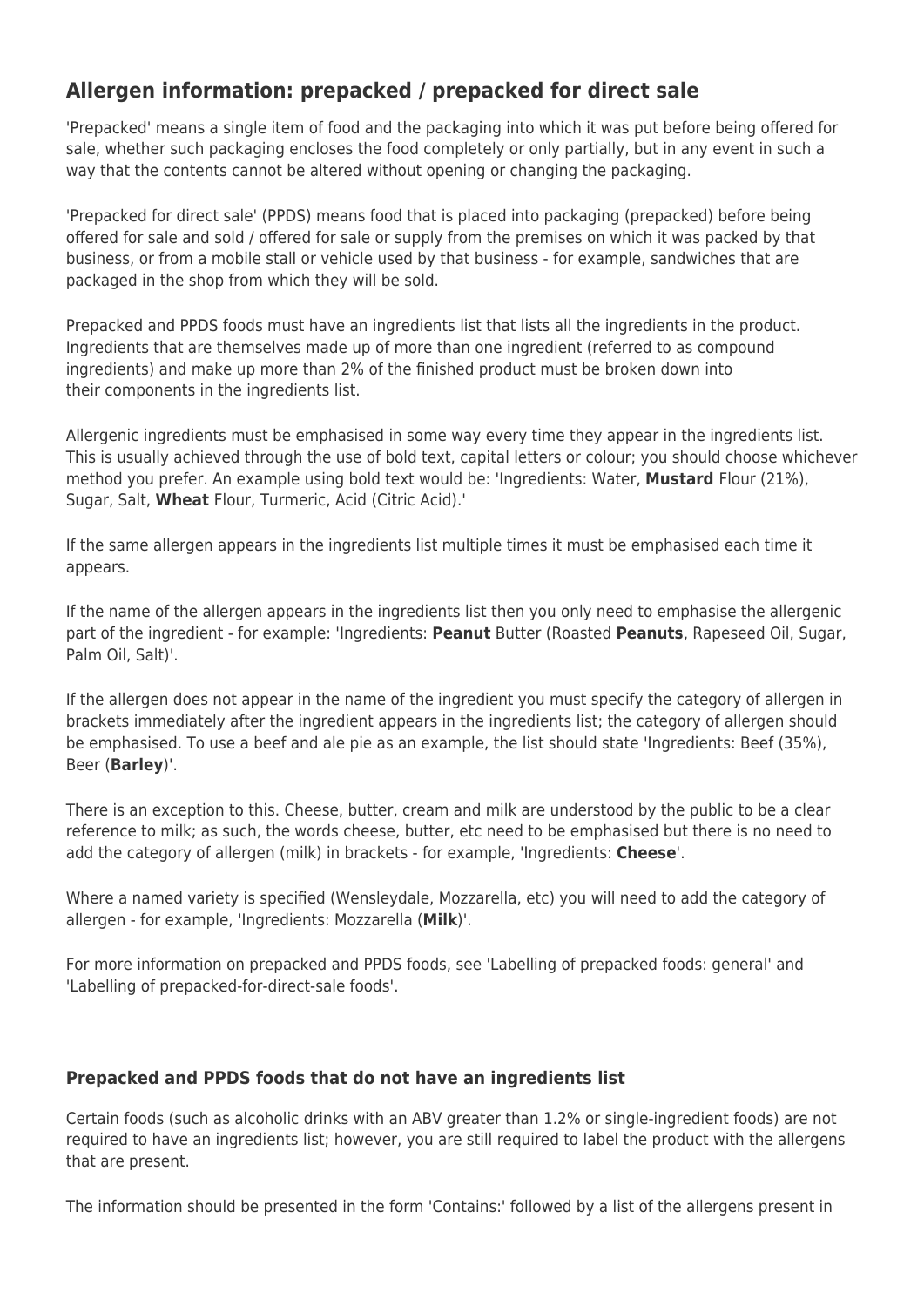## **Allergen information: prepacked / prepacked for direct sale**

'Prepacked' means a single item of food and the packaging into which it was put before being offered for sale, whether such packaging encloses the food completely or only partially, but in any event in such a way that the contents cannot be altered without opening or changing the packaging.

'Prepacked for direct sale' (PPDS) means food that is placed into packaging (prepacked) before being offered for sale and sold / offered for sale or supply from the premises on which it was packed by that business, or from a mobile stall or vehicle used by that business - for example, sandwiches that are packaged in the shop from which they will be sold.

Prepacked and PPDS foods must have an ingredients list that lists all the ingredients in the product. Ingredients that are themselves made up of more than one ingredient (referred to as compound ingredients) and make up more than 2% of the finished product must be broken down into their components in the ingredients list.

Allergenic ingredients must be emphasised in some way every time they appear in the ingredients list. This is usually achieved through the use of bold text, capital letters or colour; you should choose whichever method you prefer. An example using bold text would be: 'Ingredients: Water, **Mustard** Flour (21%), Sugar, Salt, **Wheat** Flour, Turmeric, Acid (Citric Acid).'

If the same allergen appears in the ingredients list multiple times it must be emphasised each time it appears.

If the name of the allergen appears in the ingredients list then you only need to emphasise the allergenic part of the ingredient - for example: 'Ingredients: **Peanut** Butter (Roasted **Peanuts**, Rapeseed Oil, Sugar, Palm Oil, Salt)'.

If the allergen does not appear in the name of the ingredient you must specify the category of allergen in brackets immediately after the ingredient appears in the ingredients list; the category of allergen should be emphasised. To use a beef and ale pie as an example, the list should state 'Ingredients: Beef (35%), Beer (**Barley**)'.

There is an exception to this. Cheese, butter, cream and milk are understood by the public to be a clear reference to milk; as such, the words cheese, butter, etc need to be emphasised but there is no need to add the category of allergen (milk) in brackets - for example, 'Ingredients: **Cheese**'.

Where a named variety is specified (Wensleydale, Mozzarella, etc) you will need to add the category of allergen - for example, 'Ingredients: Mozzarella (**Milk**)'.

For more information on prepacked and PPDS foods, see 'Labelling of prepacked foods: general' and 'Labelling of prepacked-for-direct-sale foods'.

#### **Prepacked and PPDS foods that do not have an ingredients list**

Certain foods (such as alcoholic drinks with an ABV greater than 1.2% or single-ingredient foods) are not required to have an ingredients list; however, you are still required to label the product with the allergens that are present.

The information should be presented in the form 'Contains:' followed by a list of the allergens present in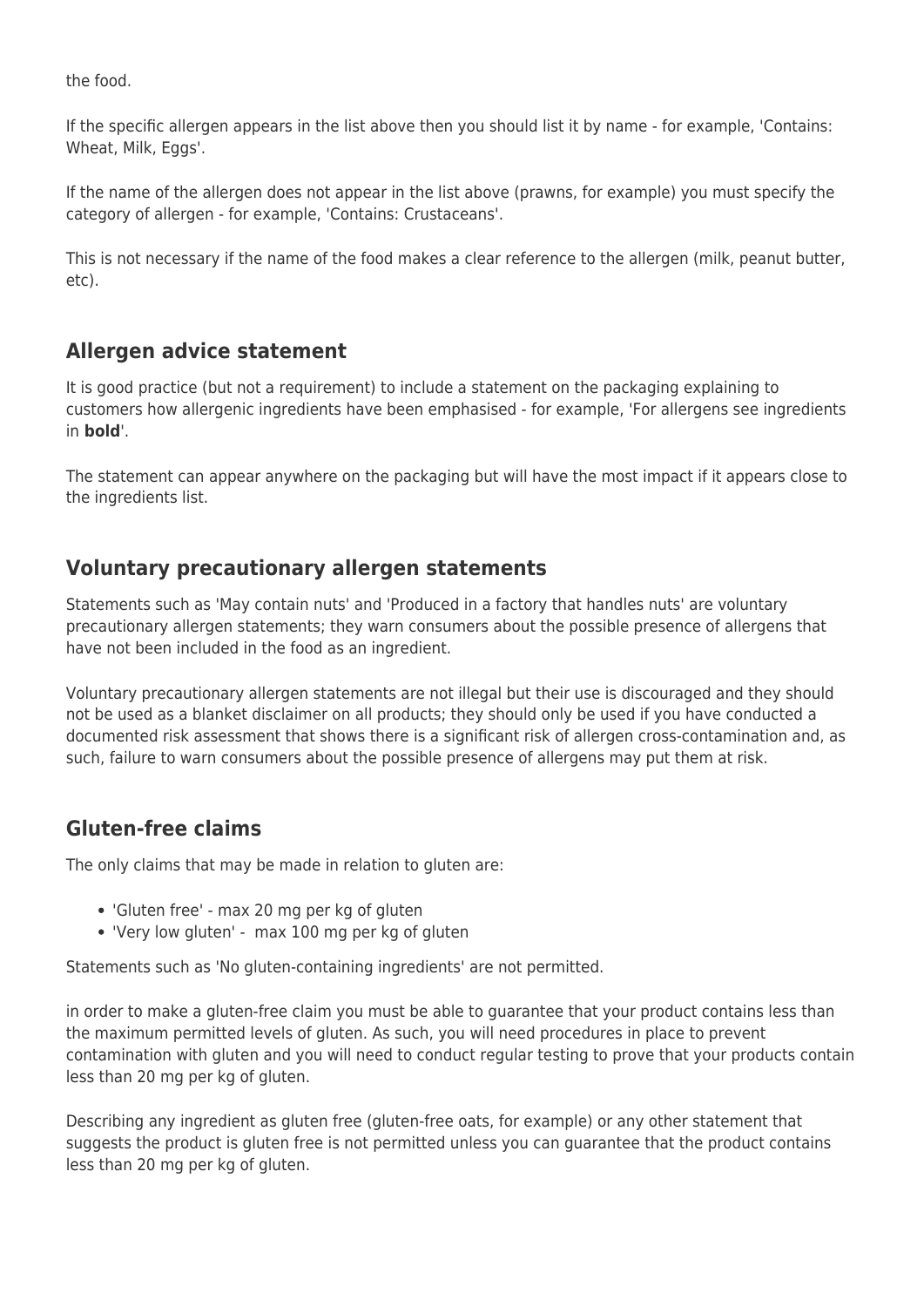the food.

If the specific allergen appears in the list above then you should list it by name - for example, 'Contains: Wheat, Milk, Eggs',

If the name of the allergen does not appear in the list above (prawns, for example) you must specify the category of allergen - for example, 'Contains: Crustaceans'.

This is not necessary if the name of the food makes a clear reference to the allergen (milk, peanut butter, etc).

## **Allergen advice statement**

It is good practice (but not a requirement) to include a statement on the packaging explaining to customers how allergenic ingredients have been emphasised - for example, 'For allergens see ingredients in **bold**'.

The statement can appear anywhere on the packaging but will have the most impact if it appears close to the ingredients list.

## **Voluntary precautionary allergen statements**

Statements such as 'May contain nuts' and 'Produced in a factory that handles nuts' are voluntary precautionary allergen statements; they warn consumers about the possible presence of allergens that have not been included in the food as an ingredient.

Voluntary precautionary allergen statements are not illegal but their use is discouraged and they should not be used as a blanket disclaimer on all products; they should only be used if you have conducted a documented risk assessment that shows there is a significant risk of allergen cross-contamination and, as such, failure to warn consumers about the possible presence of allergens may put them at risk.

## **Gluten-free claims**

The only claims that may be made in relation to gluten are:

- 'Gluten free' max 20 mg per kg of gluten
- 'Very low gluten' max 100 mg per kg of gluten

Statements such as 'No gluten-containing ingredients' are not permitted.

in order to make a gluten-free claim you must be able to guarantee that your product contains less than the maximum permitted levels of gluten. As such, you will need procedures in place to prevent contamination with gluten and you will need to conduct regular testing to prove that your products contain less than 20 mg per kg of gluten.

Describing any ingredient as gluten free (gluten-free oats, for example) or any other statement that suggests the product is gluten free is not permitted unless you can guarantee that the product contains less than 20 mg per kg of gluten.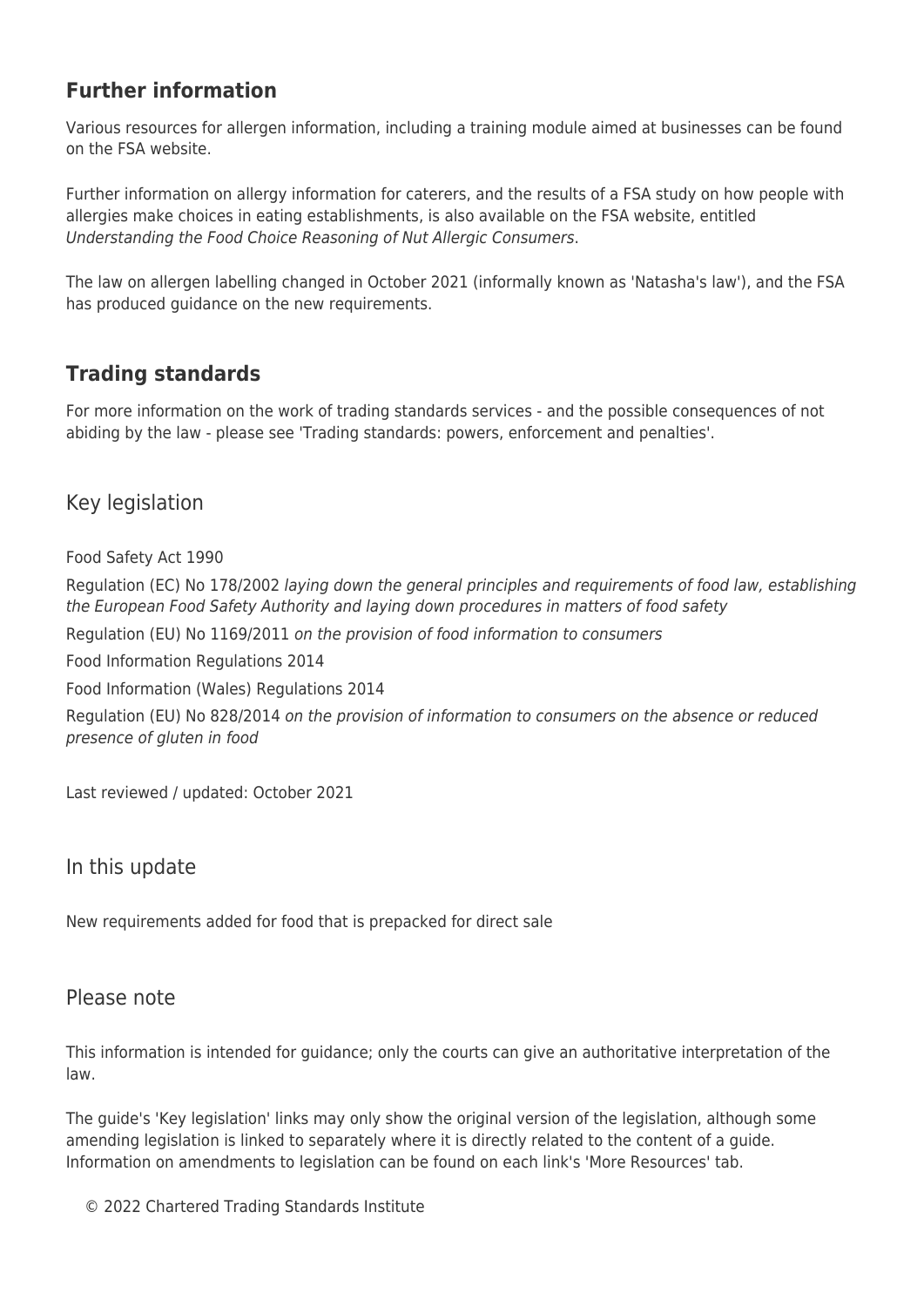## **Further information**

Various resources for allergen information, including a training module aimed at businesses can be found on the FSA website.

Further information on allergy information for caterers, and the results of a FSA study on how people with allergies make choices in eating establishments, is also available on the FSA website, entitled Understanding the Food Choice Reasoning of Nut Allergic Consumers.

The law on allergen labelling changed in October 2021 (informally known as 'Natasha's law'), and the FSA has produced guidance on the new requirements.

## **Trading standards**

For more information on the work of trading standards services - and the possible consequences of not abiding by the law - please see 'Trading standards: powers, enforcement and penalties'.

## Key legislation

Food Safety Act 1990

Regulation (EC) No 178/2002 laying down the general principles and requirements of food law, establishing the European Food Safety Authority and laying down procedures in matters of food safety

Regulation (EU) No 1169/2011 on the provision of food information to consumers

Food Information Regulations 2014

Food Information (Wales) Regulations 2014

Regulation (EU) No 828/2014 on the provision of information to consumers on the absence or reduced presence of gluten in food

Last reviewed / updated: October 2021

#### In this update

New requirements added for food that is prepacked for direct sale

#### Please note

This information is intended for guidance; only the courts can give an authoritative interpretation of the law.

The guide's 'Key legislation' links may only show the original version of the legislation, although some amending legislation is linked to separately where it is directly related to the content of a guide. Information on amendments to legislation can be found on each link's 'More Resources' tab.

© 2022 Chartered Trading Standards Institute